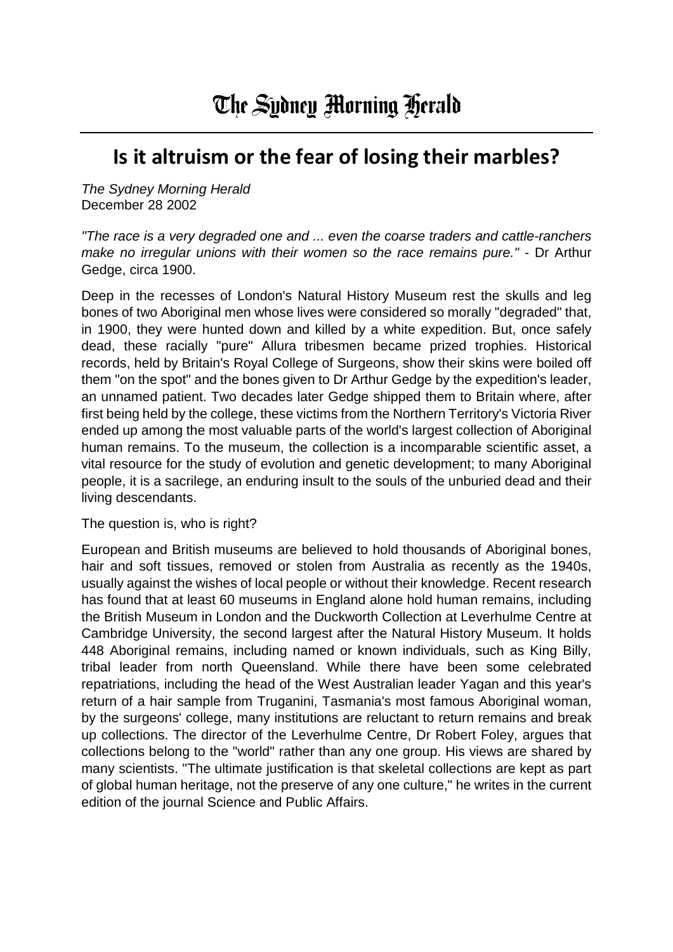## **Is it altruism or the fear of losing their marbles?**

*The Sydney Morning Herald* December 28 2002

*"The race is a very degraded one and ... even the coarse traders and cattle-ranchers make no irregular unions with their women so the race remains pure." -* Dr Arthur Gedge, circa 1900.

Deep in the recesses of London's Natural History Museum rest the skulls and leg bones of two Aboriginal men whose lives were considered so morally "degraded" that, in 1900, they were hunted down and killed by a white expedition. But, once safely dead, these racially "pure" Allura tribesmen became prized trophies. Historical records, held by Britain's Royal College of Surgeons, show their skins were boiled off them "on the spot" and the bones given to Dr Arthur Gedge by the expedition's leader, an unnamed patient. Two decades later Gedge shipped them to Britain where, after first being held by the college, these victims from the Northern Territory's Victoria River ended up among the most valuable parts of the world's largest collection of Aboriginal human remains. To the museum, the collection is a incomparable scientific asset, a vital resource for the study of evolution and genetic development; to many Aboriginal people, it is a sacrilege, an enduring insult to the souls of the unburied dead and their living descendants.

The question is, who is right?

European and British museums are believed to hold thousands of Aboriginal bones, hair and soft tissues, removed or stolen from Australia as recently as the 1940s, usually against the wishes of local people or without their knowledge. Recent research has found that at least 60 museums in England alone hold human remains, including the British Museum in London and the Duckworth Collection at Leverhulme Centre at Cambridge University, the second largest after the Natural History Museum. It holds 448 Aboriginal remains, including named or known individuals, such as King Billy, tribal leader from north Queensland. While there have been some celebrated repatriations, including the head of the West Australian leader Yagan and this year's return of a hair sample from Truganini, Tasmania's most famous Aboriginal woman, by the surgeons' college, many institutions are reluctant to return remains and break up collections. The director of the Leverhulme Centre, Dr Robert Foley, argues that collections belong to the "world" rather than any one group. His views are shared by many scientists. "The ultimate justification is that skeletal collections are kept as part of global human heritage, not the preserve of any one culture," he writes in the current edition of the journal Science and Public Affairs.